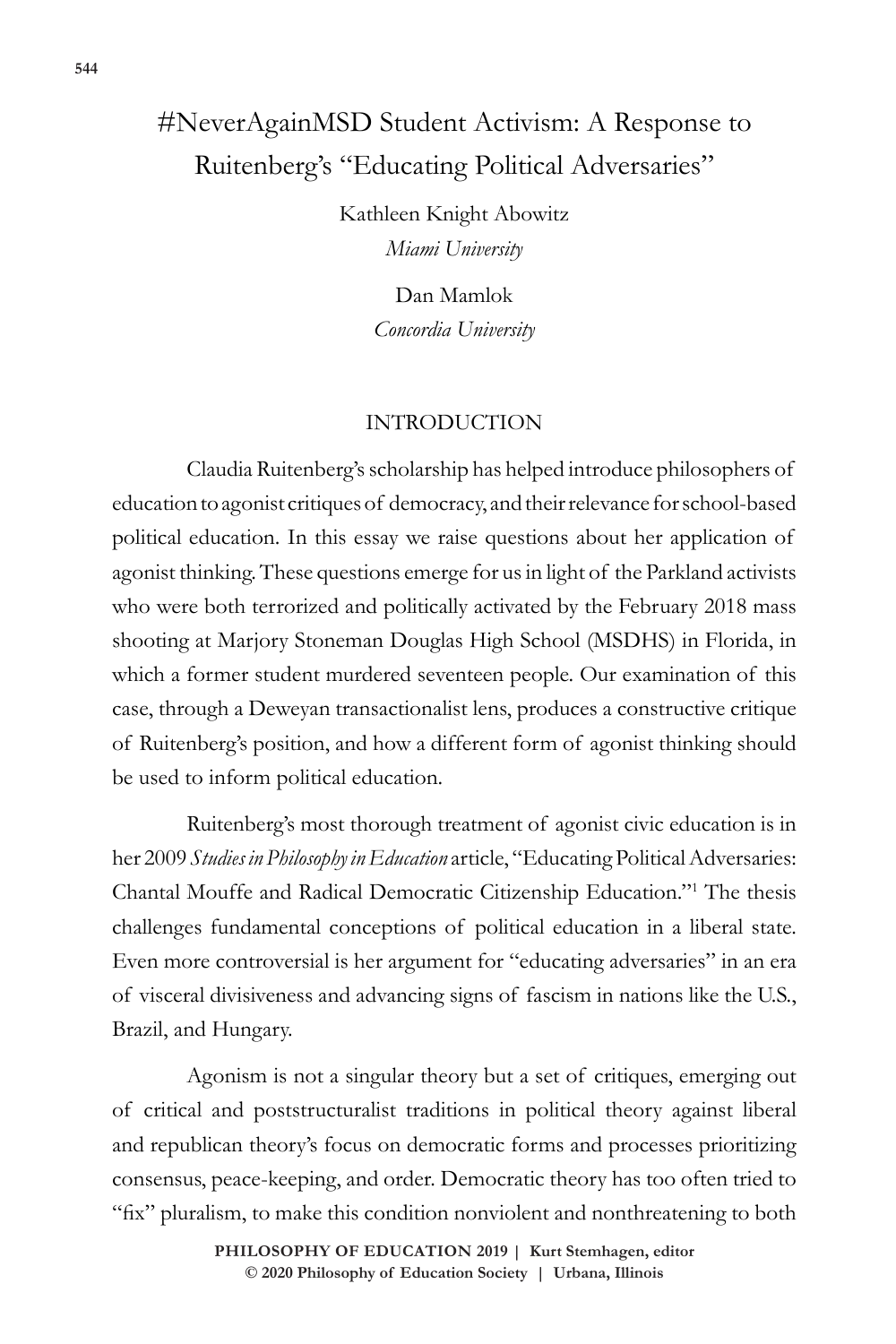# #NeverAgainMSD Student Activism: A Response to Ruitenberg's "Educating Political Adversaries"

Kathleen Knight Abowitz *Miami University*

> Dan Mamlok *Concordia University*

#### INTRODUCTION

Claudia Ruitenberg's scholarship has helped introduce philosophers of education to agonist critiques of democracy, and their relevance for school-based political education. In this essay we raise questions about her application of agonist thinking. These questions emerge for us in light of the Parkland activists who were both terrorized and politically activated by the February 2018 mass shooting at Marjory Stoneman Douglas High School (MSDHS) in Florida, in which a former student murdered seventeen people. Our examination of this case, through a Deweyan transactionalist lens, produces a constructive critique of Ruitenberg's position, and how a different form of agonist thinking should be used to inform political education.

Ruitenberg's most thorough treatment of agonist civic education is in her 2009 *Studies in Philosophy in Education* article, "Educating Political Adversaries: Chantal Mouffe and Radical Democratic Citizenship Education."1 The thesis challenges fundamental conceptions of political education in a liberal state. Even more controversial is her argument for "educating adversaries" in an era of visceral divisiveness and advancing signs of fascism in nations like the U.S., Brazil, and Hungary.

Agonism is not a singular theory but a set of critiques, emerging out of critical and poststructuralist traditions in political theory against liberal and republican theory's focus on democratic forms and processes prioritizing consensus, peace-keeping, and order. Democratic theory has too often tried to "fix" pluralism, to make this condition nonviolent and nonthreatening to both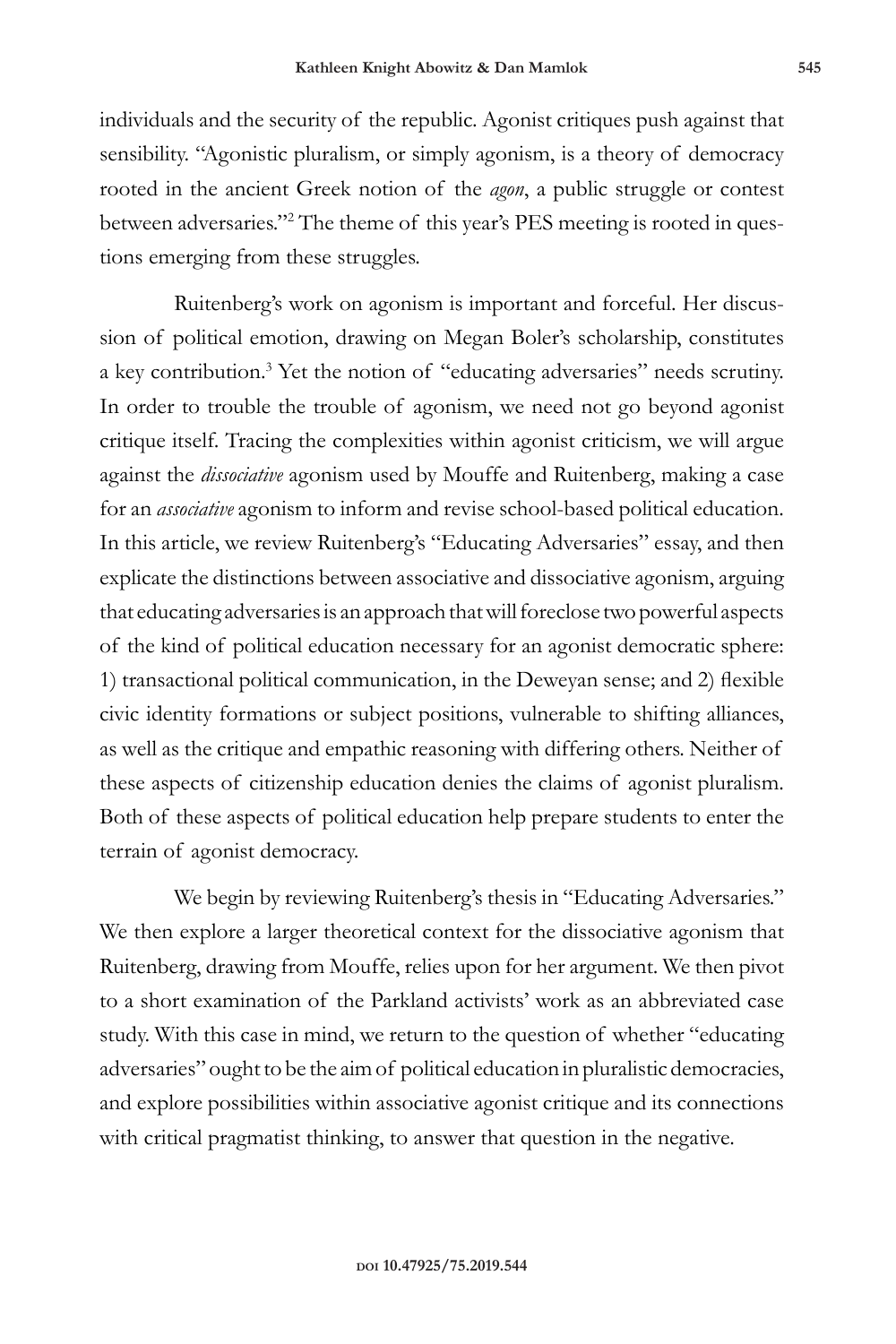individuals and the security of the republic. Agonist critiques push against that sensibility. "Agonistic pluralism, or simply agonism, is a theory of democracy rooted in the ancient Greek notion of the *agon*, a public struggle or contest between adversaries."2 The theme of this year's PES meeting is rooted in questions emerging from these struggles.

Ruitenberg's work on agonism is important and forceful. Her discussion of political emotion, drawing on Megan Boler's scholarship, constitutes a key contribution.<sup>3</sup> Yet the notion of "educating adversaries" needs scrutiny. In order to trouble the trouble of agonism, we need not go beyond agonist critique itself. Tracing the complexities within agonist criticism, we will argue against the *dissociative* agonism used by Mouffe and Ruitenberg, making a case for an *associative* agonism to inform and revise school-based political education. In this article, we review Ruitenberg's "Educating Adversaries" essay, and then explicate the distinctions between associative and dissociative agonism, arguing that educating adversaries is an approach that will foreclose two powerful aspects of the kind of political education necessary for an agonist democratic sphere: 1) transactional political communication, in the Deweyan sense; and 2) flexible civic identity formations or subject positions, vulnerable to shifting alliances, as well as the critique and empathic reasoning with differing others. Neither of these aspects of citizenship education denies the claims of agonist pluralism. Both of these aspects of political education help prepare students to enter the terrain of agonist democracy.

We begin by reviewing Ruitenberg's thesis in "Educating Adversaries." We then explore a larger theoretical context for the dissociative agonism that Ruitenberg, drawing from Mouffe, relies upon for her argument. We then pivot to a short examination of the Parkland activists' work as an abbreviated case study. With this case in mind, we return to the question of whether "educating adversaries" ought to be the aim of political education in pluralistic democracies, and explore possibilities within associative agonist critique and its connections with critical pragmatist thinking, to answer that question in the negative.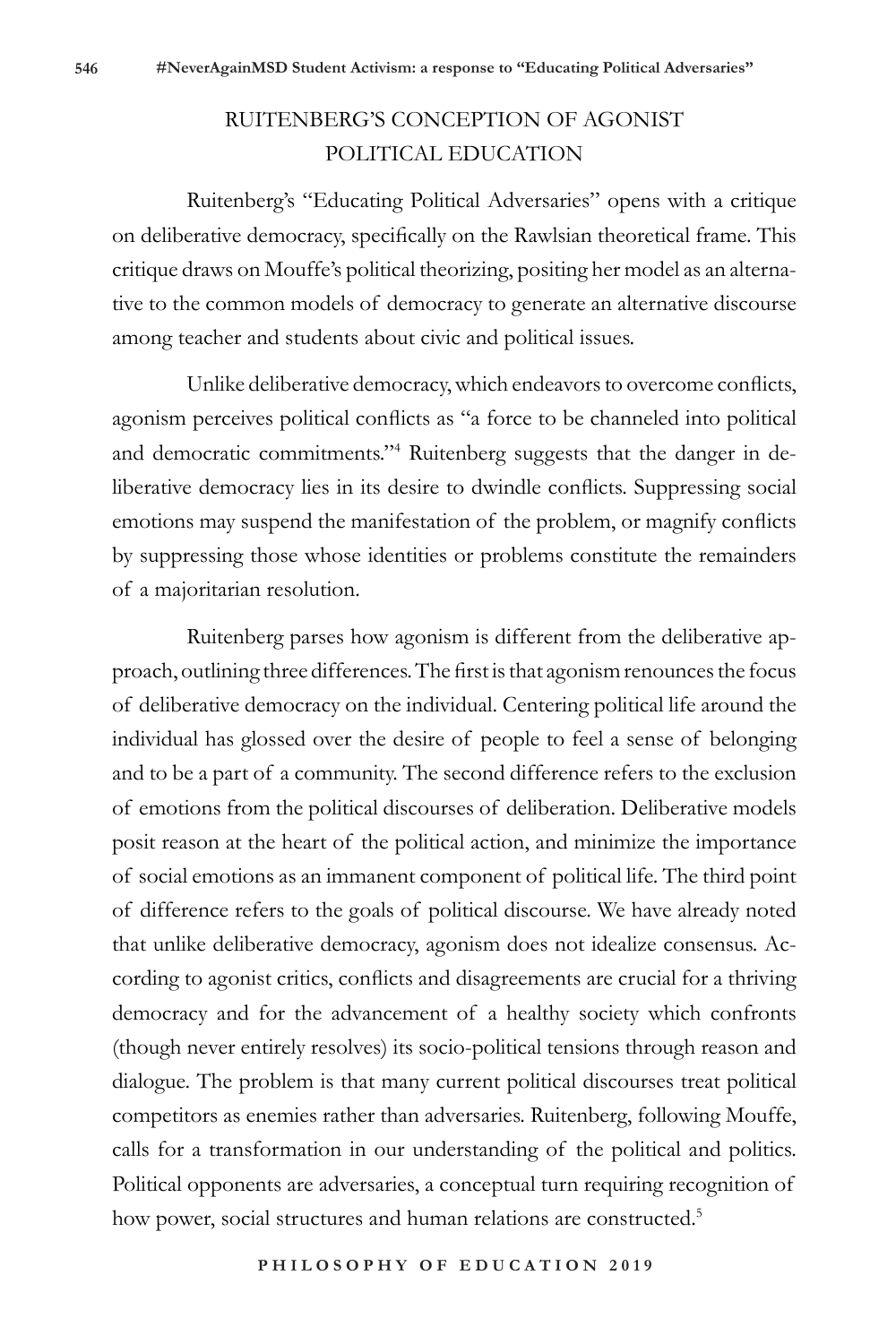# RUITENBERG'S CONCEPTION OF AGONIST POLITICAL EDUCATION

Ruitenberg's "Educating Political Adversaries" opens with a critique on deliberative democracy, specifically on the Rawlsian theoretical frame. This critique draws on Mouffe's political theorizing, positing her model as an alternative to the common models of democracy to generate an alternative discourse among teacher and students about civic and political issues.

Unlike deliberative democracy, which endeavors to overcome conflicts, agonism perceives political conflicts as "a force to be channeled into political and democratic commitments."4 Ruitenberg suggests that the danger in deliberative democracy lies in its desire to dwindle conflicts. Suppressing social emotions may suspend the manifestation of the problem, or magnify conflicts by suppressing those whose identities or problems constitute the remainders of a majoritarian resolution.

Ruitenberg parses how agonism is different from the deliberative approach, outlining three differences. The first is that agonism renounces the focus of deliberative democracy on the individual. Centering political life around the individual has glossed over the desire of people to feel a sense of belonging and to be a part of a community. The second difference refers to the exclusion of emotions from the political discourses of deliberation. Deliberative models posit reason at the heart of the political action, and minimize the importance of social emotions as an immanent component of political life. The third point of difference refers to the goals of political discourse. We have already noted that unlike deliberative democracy, agonism does not idealize consensus. According to agonist critics, conflicts and disagreements are crucial for a thriving democracy and for the advancement of a healthy society which confronts (though never entirely resolves) its socio-political tensions through reason and dialogue. The problem is that many current political discourses treat political competitors as enemies rather than adversaries. Ruitenberg, following Mouffe, calls for a transformation in our understanding of the political and politics. Political opponents are adversaries, a conceptual turn requiring recognition of how power, social structures and human relations are constructed.<sup>5</sup>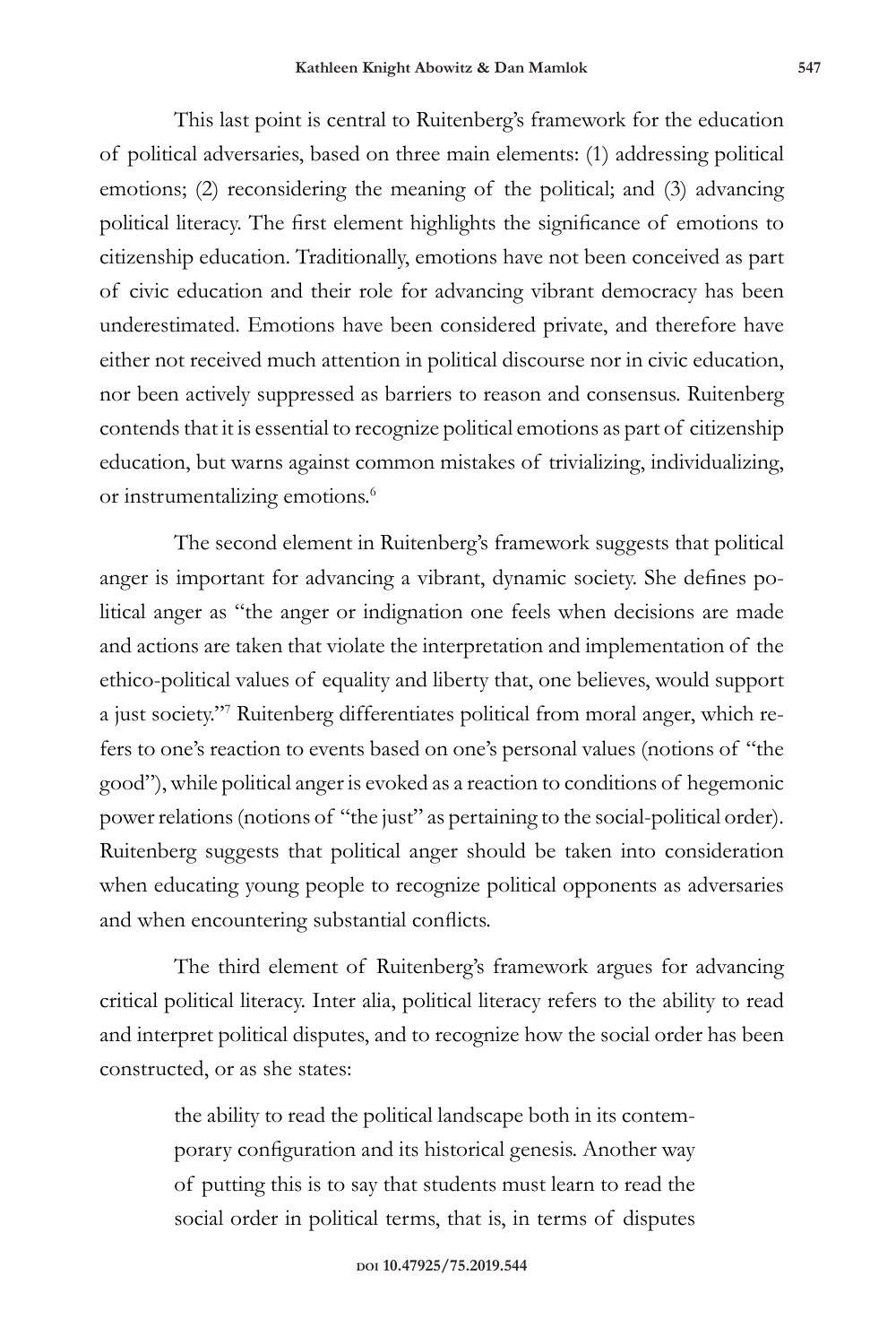This last point is central to Ruitenberg's framework for the education of political adversaries, based on three main elements: (1) addressing political emotions; (2) reconsidering the meaning of the political; and (3) advancing political literacy. The first element highlights the significance of emotions to citizenship education. Traditionally, emotions have not been conceived as part of civic education and their role for advancing vibrant democracy has been underestimated. Emotions have been considered private, and therefore have either not received much attention in political discourse nor in civic education, nor been actively suppressed as barriers to reason and consensus. Ruitenberg contends that it is essential to recognize political emotions as part of citizenship education, but warns against common mistakes of trivializing, individualizing, or instrumentalizing emotions.<sup>6</sup>

The second element in Ruitenberg's framework suggests that political anger is important for advancing a vibrant, dynamic society. She defines political anger as "the anger or indignation one feels when decisions are made and actions are taken that violate the interpretation and implementation of the ethico-political values of equality and liberty that, one believes, would support a just society."7 Ruitenberg differentiates political from moral anger, which refers to one's reaction to events based on one's personal values (notions of "the good"), while political anger is evoked as a reaction to conditions of hegemonic power relations (notions of "the just" as pertaining to the social-political order). Ruitenberg suggests that political anger should be taken into consideration when educating young people to recognize political opponents as adversaries and when encountering substantial conflicts.

The third element of Ruitenberg's framework argues for advancing critical political literacy. Inter alia, political literacy refers to the ability to read and interpret political disputes, and to recognize how the social order has been constructed, or as she states:

> the ability to read the political landscape both in its contemporary configuration and its historical genesis. Another way of putting this is to say that students must learn to read the social order in political terms, that is, in terms of disputes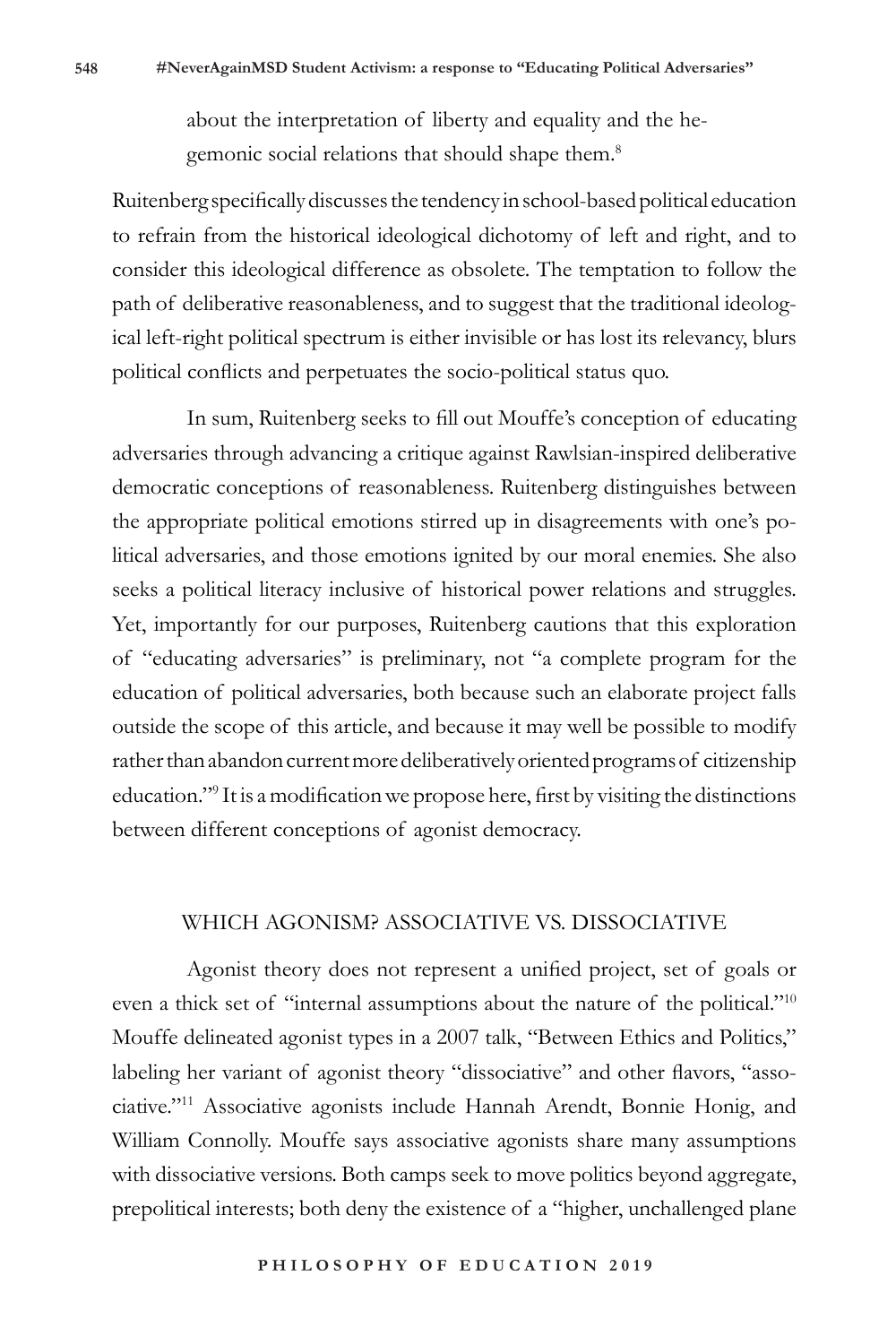about the interpretation of liberty and equality and the hegemonic social relations that should shape them.<sup>8</sup>

Ruitenberg specifically discusses the tendency in school-based political education to refrain from the historical ideological dichotomy of left and right, and to consider this ideological difference as obsolete. The temptation to follow the path of deliberative reasonableness, and to suggest that the traditional ideological left-right political spectrum is either invisible or has lost its relevancy, blurs political conflicts and perpetuates the socio-political status quo.

In sum, Ruitenberg seeks to fill out Mouffe's conception of educating adversaries through advancing a critique against Rawlsian-inspired deliberative democratic conceptions of reasonableness. Ruitenberg distinguishes between the appropriate political emotions stirred up in disagreements with one's political adversaries, and those emotions ignited by our moral enemies. She also seeks a political literacy inclusive of historical power relations and struggles. Yet, importantly for our purposes, Ruitenberg cautions that this exploration of "educating adversaries" is preliminary, not "a complete program for the education of political adversaries, both because such an elaborate project falls outside the scope of this article, and because it may well be possible to modify rather than abandon current more deliberatively oriented programs of citizenship education."9 It is a modification we propose here, first by visiting the distinctions between different conceptions of agonist democracy.

#### WHICH AGONISM? ASSOCIATIVE VS. DISSOCIATIVE

Agonist theory does not represent a unified project, set of goals or even a thick set of "internal assumptions about the nature of the political."<sup>10</sup> Mouffe delineated agonist types in a 2007 talk, "Between Ethics and Politics," labeling her variant of agonist theory "dissociative" and other flavors, "associative."11 Associative agonists include Hannah Arendt, Bonnie Honig, and William Connolly. Mouffe says associative agonists share many assumptions with dissociative versions. Both camps seek to move politics beyond aggregate, prepolitical interests; both deny the existence of a "higher, unchallenged plane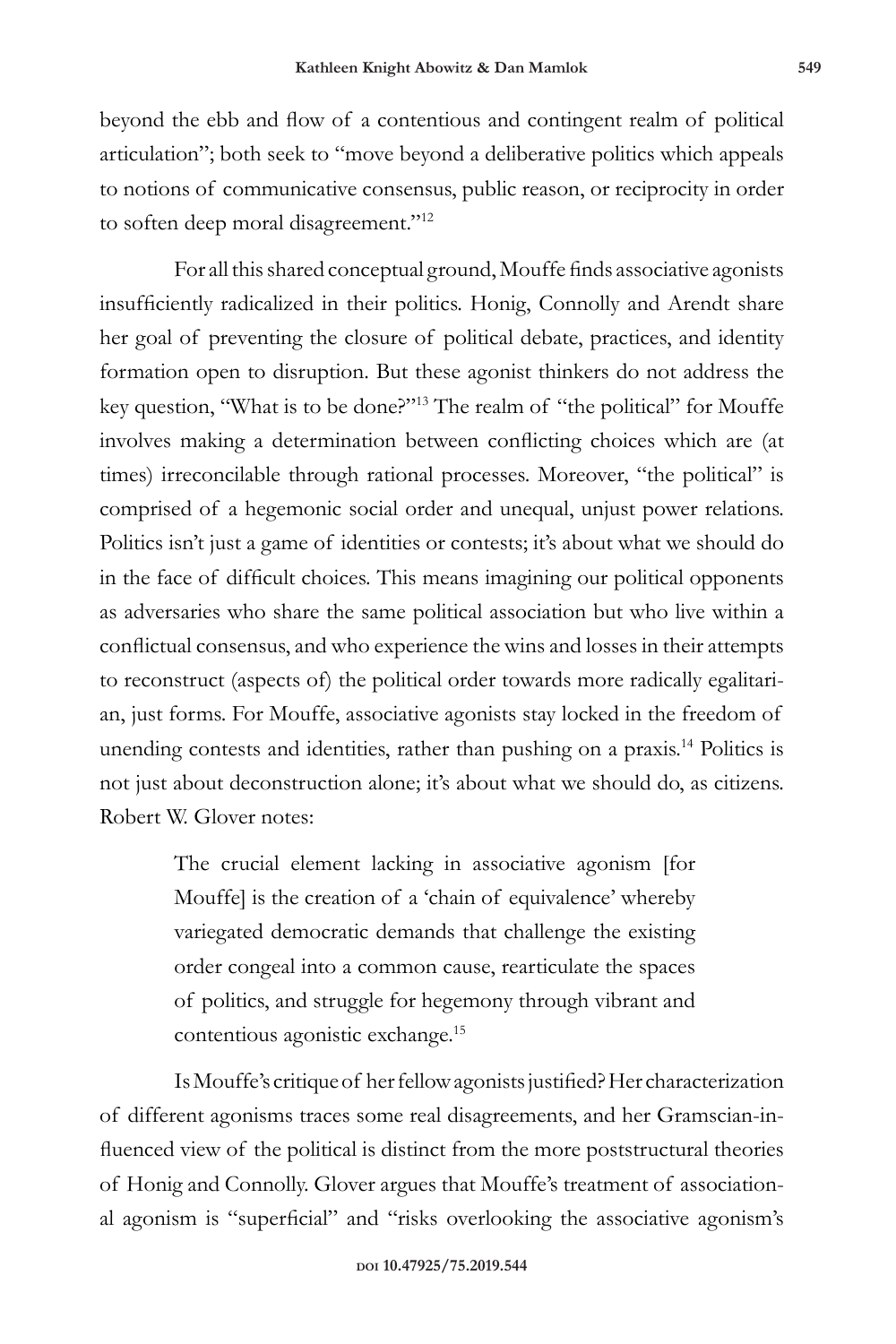beyond the ebb and flow of a contentious and contingent realm of political articulation"; both seek to "move beyond a deliberative politics which appeals to notions of communicative consensus, public reason, or reciprocity in order to soften deep moral disagreement."<sup>12</sup>

For all this shared conceptual ground, Mouffe finds associative agonists insufficiently radicalized in their politics. Honig, Connolly and Arendt share her goal of preventing the closure of political debate, practices, and identity formation open to disruption. But these agonist thinkers do not address the key question, "What is to be done?"13 The realm of "the political" for Mouffe involves making a determination between conflicting choices which are (at times) irreconcilable through rational processes. Moreover, "the political" is comprised of a hegemonic social order and unequal, unjust power relations. Politics isn't just a game of identities or contests; it's about what we should do in the face of difficult choices. This means imagining our political opponents as adversaries who share the same political association but who live within a conflictual consensus, and who experience the wins and losses in their attempts to reconstruct (aspects of) the political order towards more radically egalitarian, just forms. For Mouffe, associative agonists stay locked in the freedom of unending contests and identities, rather than pushing on a praxis.<sup>14</sup> Politics is not just about deconstruction alone; it's about what we should do, as citizens. Robert W. Glover notes:

> The crucial element lacking in associative agonism [for Mouffe] is the creation of a 'chain of equivalence' whereby variegated democratic demands that challenge the existing order congeal into a common cause, rearticulate the spaces of politics, and struggle for hegemony through vibrant and contentious agonistic exchange.15

Is Mouffe's critique of her fellow agonists justified? Her characterization of different agonisms traces some real disagreements, and her Gramscian-influenced view of the political is distinct from the more poststructural theories of Honig and Connolly. Glover argues that Mouffe's treatment of associational agonism is "superficial" and "risks overlooking the associative agonism's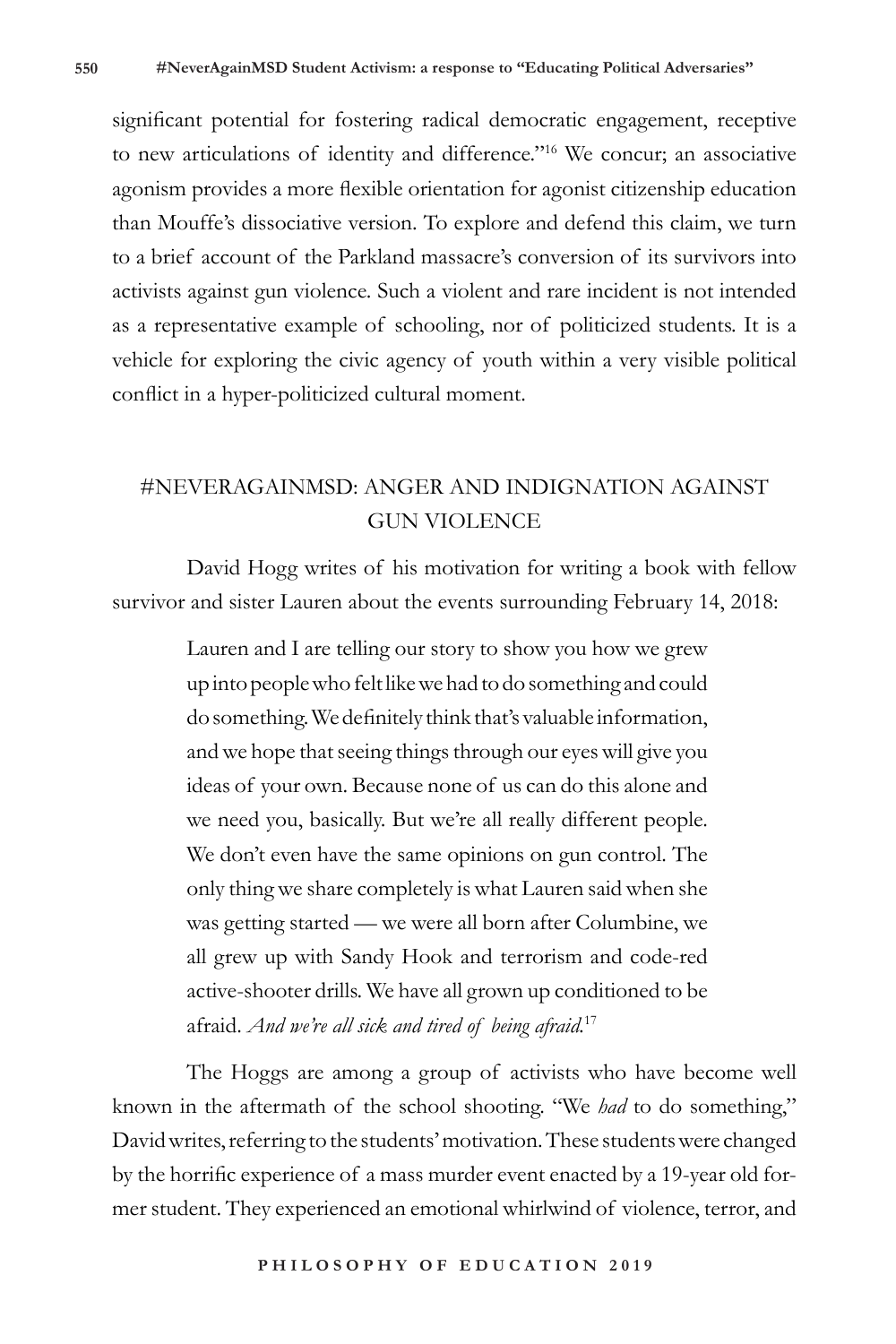significant potential for fostering radical democratic engagement, receptive to new articulations of identity and difference."16 We concur; an associative agonism provides a more flexible orientation for agonist citizenship education than Mouffe's dissociative version. To explore and defend this claim, we turn to a brief account of the Parkland massacre's conversion of its survivors into activists against gun violence. Such a violent and rare incident is not intended as a representative example of schooling, nor of politicized students. It is a vehicle for exploring the civic agency of youth within a very visible political conflict in a hyper-politicized cultural moment.

### #NEVERAGAINMSD: ANGER AND INDIGNATION AGAINST GUN VIOLENCE

David Hogg writes of his motivation for writing a book with fellow survivor and sister Lauren about the events surrounding February 14, 2018:

> Lauren and I are telling our story to show you how we grew up into people who felt like we had to do something and could do something. We definitely think that's valuable information, and we hope that seeing things through our eyes will give you ideas of your own. Because none of us can do this alone and we need you, basically. But we're all really different people. We don't even have the same opinions on gun control. The only thing we share completely is what Lauren said when she was getting started — we were all born after Columbine, we all grew up with Sandy Hook and terrorism and code-red active-shooter drills. We have all grown up conditioned to be afraid. *And we're all sick and tired of being afraid.*<sup>17</sup>

The Hoggs are among a group of activists who have become well known in the aftermath of the school shooting. "We *had* to do something," David writes, referring to the students' motivation. These students were changed by the horrific experience of a mass murder event enacted by a 19-year old former student. They experienced an emotional whirlwind of violence, terror, and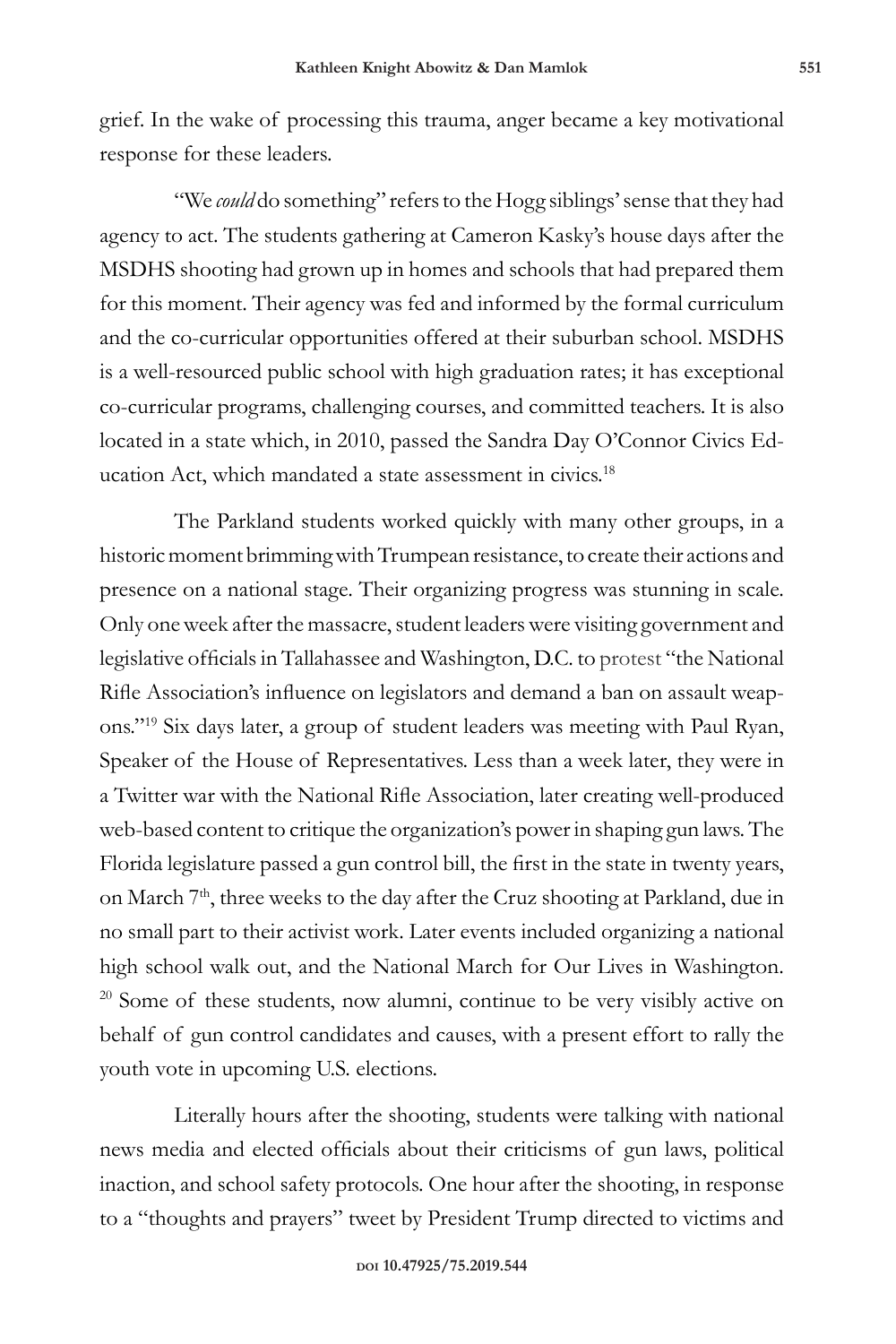grief. In the wake of processing this trauma, anger became a key motivational response for these leaders.

"We *could* do something" refers to the Hogg siblings' sense that they had agency to act. The students gathering at Cameron Kasky's house days after the MSDHS shooting had grown up in homes and schools that had prepared them for this moment. Their agency was fed and informed by the formal curriculum and the co-curricular opportunities offered at their suburban school. MSDHS is a well-resourced public school with high graduation rates; it has exceptional co-curricular programs, challenging courses, and committed teachers. It is also located in a state which, in 2010, passed the Sandra Day O'Connor Civics Education Act, which mandated a state assessment in civics.<sup>18</sup>

The Parkland students worked quickly with many other groups, in a historic moment brimming with Trumpean resistance, to create their actions and presence on a national stage. Their organizing progress was stunning in scale. Only one week after the massacre, student leaders were visiting government and legislative officials in Tallahassee and Washington, D.C. to protest "the National Rifle Association's influence on legislators and demand a ban on assault weapons."19 Six days later, a group of student leaders was meeting with Paul Ryan, Speaker of the House of Representatives. Less than a week later, they were in a Twitter war with the National Rifle Association, later creating well-produced web-based content to critique the organization's power in shaping gun laws. The Florida legislature passed a gun control bill, the first in the state in twenty years, on March 7<sup>th</sup>, three weeks to the day after the Cruz shooting at Parkland, due in no small part to their activist work. Later events included organizing a national high school walk out, and the National March for Our Lives in Washington. <sup>20</sup> Some of these students, now alumni, continue to be very visibly active on behalf of gun control candidates and causes, with a present effort to rally the youth vote in upcoming U.S. elections.

Literally hours after the shooting, students were talking with national news media and elected officials about their criticisms of gun laws, political inaction, and school safety protocols. One hour after the shooting, in response to a "thoughts and prayers" tweet by President Trump directed to victims and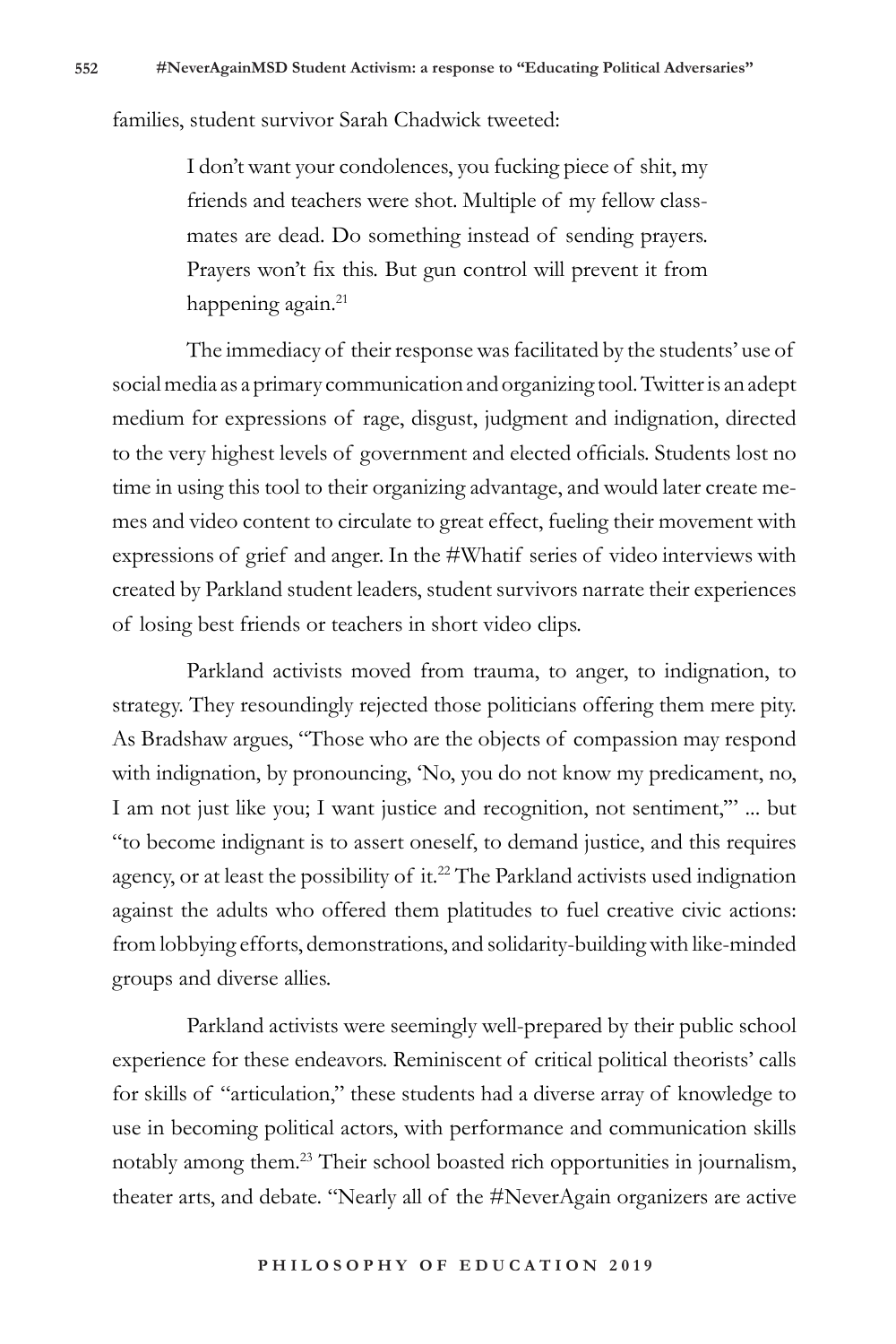families, student survivor Sarah Chadwick tweeted:

I don't want your condolences, you fucking piece of shit, my friends and teachers were shot. Multiple of my fellow classmates are dead. Do something instead of sending prayers. Prayers won't fix this. But gun control will prevent it from happening again.<sup>21</sup>

The immediacy of their response was facilitated by the students' use of social media as a primary communication and organizing tool. Twitter is an adept medium for expressions of rage, disgust, judgment and indignation, directed to the very highest levels of government and elected officials. Students lost no time in using this tool to their organizing advantage, and would later create memes and video content to circulate to great effect, fueling their movement with expressions of grief and anger. In the #Whatif series of video interviews with created by Parkland student leaders, student survivors narrate their experiences of losing best friends or teachers in short video clips.

Parkland activists moved from trauma, to anger, to indignation, to strategy. They resoundingly rejected those politicians offering them mere pity. As Bradshaw argues, "Those who are the objects of compassion may respond with indignation, by pronouncing, 'No, you do not know my predicament, no, I am not just like you; I want justice and recognition, not sentiment,'" ... but "to become indignant is to assert oneself, to demand justice, and this requires agency, or at least the possibility of it.<sup>22</sup> The Parkland activists used indignation against the adults who offered them platitudes to fuel creative civic actions: from lobbying efforts, demonstrations, and solidarity-building with like-minded groups and diverse allies.

Parkland activists were seemingly well-prepared by their public school experience for these endeavors. Reminiscent of critical political theorists' calls for skills of "articulation," these students had a diverse array of knowledge to use in becoming political actors, with performance and communication skills notably among them.23 Their school boasted rich opportunities in journalism, theater arts, and debate. "Nearly all of the #NeverAgain organizers are active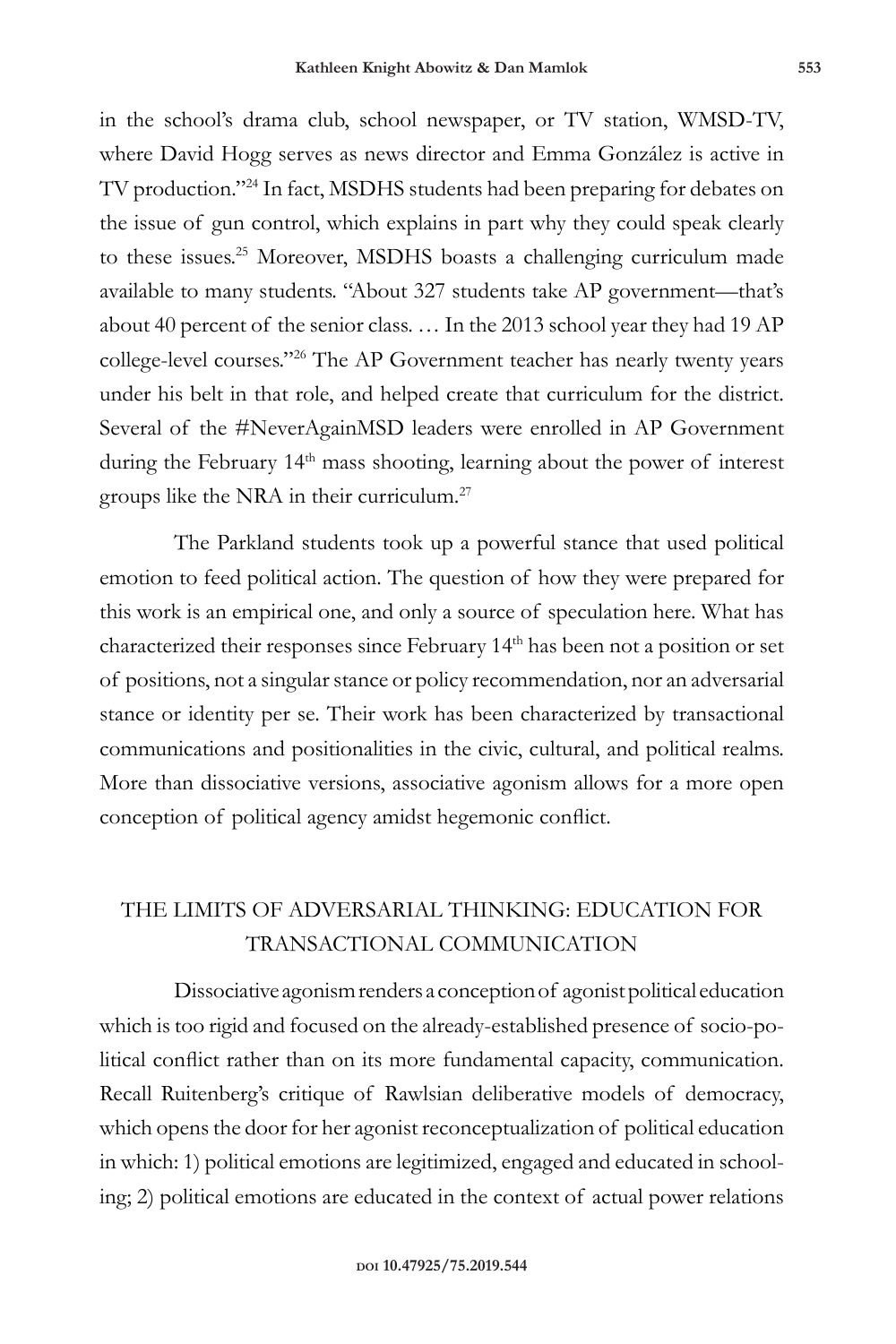in the school's drama club, school newspaper, or TV station, WMSD-TV, where David Hogg serves as news director and Emma González is active in TV production."24 In fact, MSDHS students had been preparing for debates on the issue of gun control, which explains in part why they could speak clearly to these issues.<sup>25</sup> Moreover, MSDHS boasts a challenging curriculum made available to many students. "About 327 students take AP government—that's about 40 percent of the senior class. … In the 2013 school year they had 19 AP college-level courses."26 The AP Government teacher has nearly twenty years under his belt in that role, and helped create that curriculum for the district. Several of the #NeverAgainMSD leaders were enrolled in AP Government during the February 14<sup>th</sup> mass shooting, learning about the power of interest groups like the NRA in their curriculum.27

The Parkland students took up a powerful stance that used political emotion to feed political action. The question of how they were prepared for this work is an empirical one, and only a source of speculation here. What has characterized their responses since February 14<sup>th</sup> has been not a position or set of positions, not a singular stance or policy recommendation, nor an adversarial stance or identity per se. Their work has been characterized by transactional communications and positionalities in the civic, cultural, and political realms. More than dissociative versions, associative agonism allows for a more open conception of political agency amidst hegemonic conflict.

## THE LIMITS OF ADVERSARIAL THINKING: EDUCATION FOR TRANSACTIONAL COMMUNICATION

Dissociative agonism renders a conception of agonist political education which is too rigid and focused on the already-established presence of socio-political conflict rather than on its more fundamental capacity, communication. Recall Ruitenberg's critique of Rawlsian deliberative models of democracy, which opens the door for her agonist reconceptualization of political education in which: 1) political emotions are legitimized, engaged and educated in schooling; 2) political emotions are educated in the context of actual power relations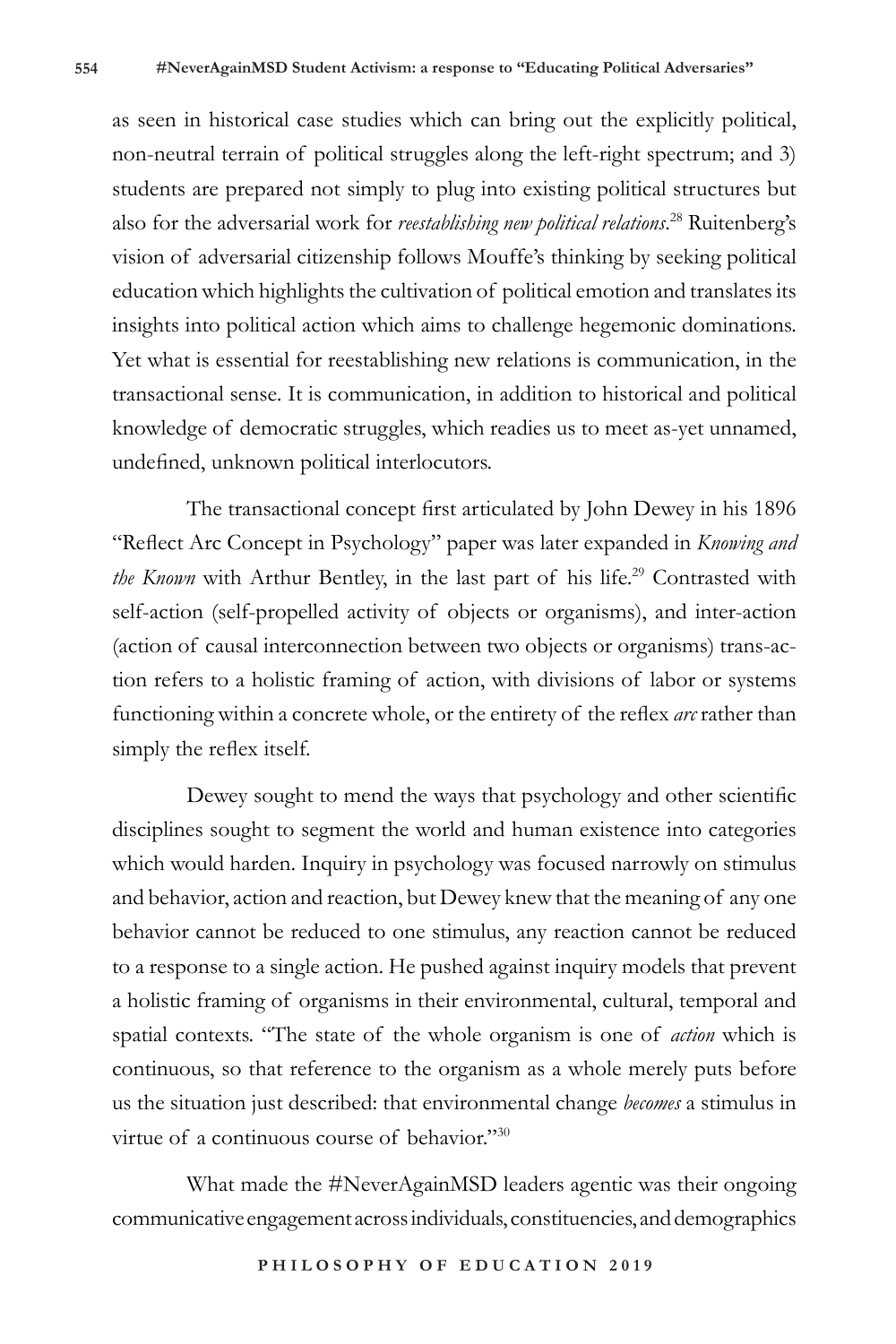as seen in historical case studies which can bring out the explicitly political, non-neutral terrain of political struggles along the left-right spectrum; and 3) students are prepared not simply to plug into existing political structures but also for the adversarial work for *reestablishing new political relations*. <sup>28</sup> Ruitenberg's vision of adversarial citizenship follows Mouffe's thinking by seeking political education which highlights the cultivation of political emotion and translates its insights into political action which aims to challenge hegemonic dominations. Yet what is essential for reestablishing new relations is communication, in the transactional sense. It is communication, in addition to historical and political knowledge of democratic struggles, which readies us to meet as-yet unnamed, undefined, unknown political interlocutors.

The transactional concept first articulated by John Dewey in his 1896 "Reflect Arc Concept in Psychology" paper was later expanded in *Knowing and the Known* with Arthur Bentley, in the last part of his life.<sup>29</sup> Contrasted with self-action (self-propelled activity of objects or organisms), and inter-action (action of causal interconnection between two objects or organisms) trans-action refers to a holistic framing of action, with divisions of labor or systems functioning within a concrete whole, or the entirety of the reflex *arc* rather than simply the reflex itself.

Dewey sought to mend the ways that psychology and other scientific disciplines sought to segment the world and human existence into categories which would harden. Inquiry in psychology was focused narrowly on stimulus and behavior, action and reaction, but Dewey knew that the meaning of any one behavior cannot be reduced to one stimulus, any reaction cannot be reduced to a response to a single action. He pushed against inquiry models that prevent a holistic framing of organisms in their environmental, cultural, temporal and spatial contexts. "The state of the whole organism is one of *action* which is continuous, so that reference to the organism as a whole merely puts before us the situation just described: that environmental change *becomes* a stimulus in virtue of a continuous course of behavior."30

What made the #NeverAgainMSD leaders agentic was their ongoing communicative engagement across individuals, constituencies, and demographics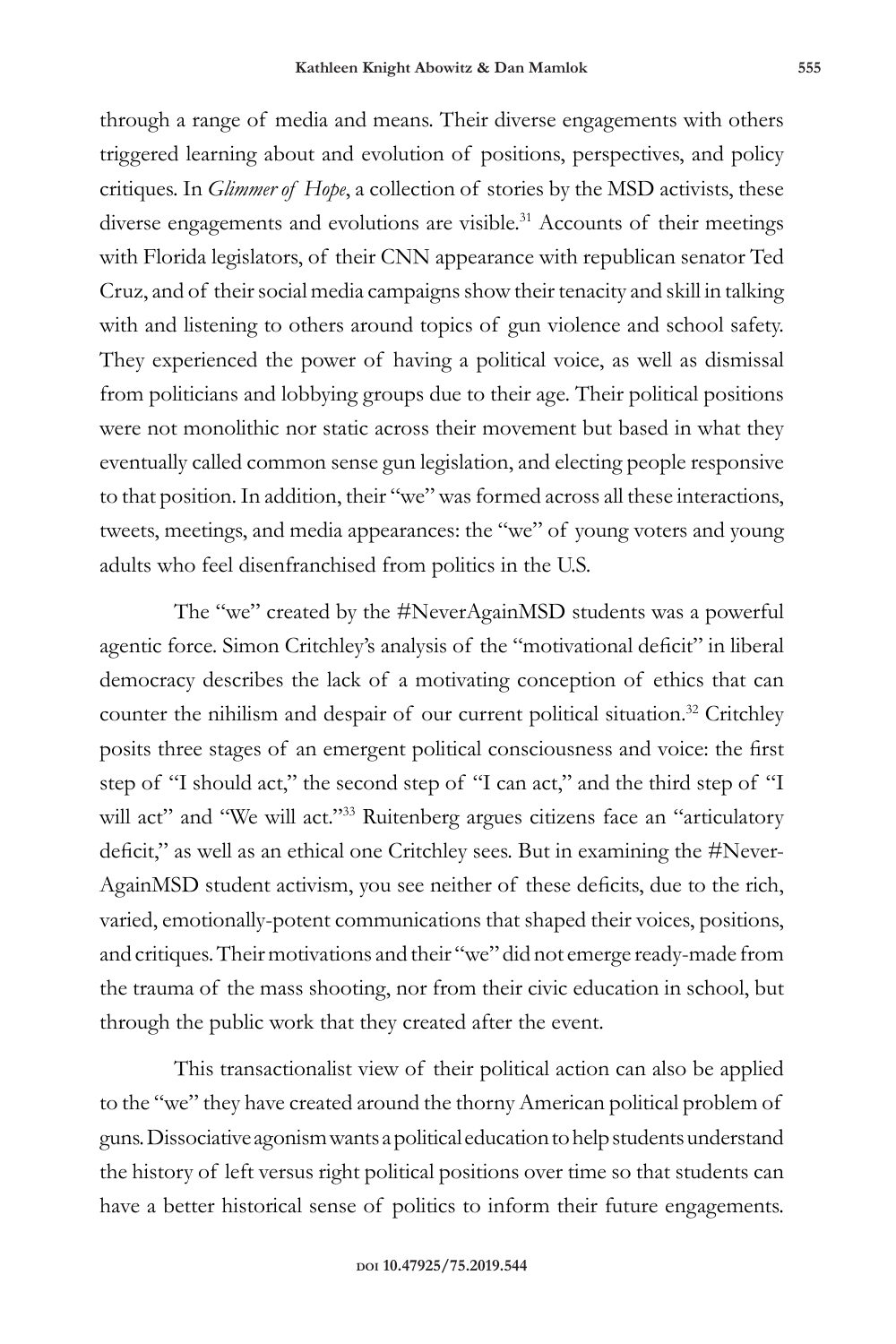through a range of media and means. Their diverse engagements with others triggered learning about and evolution of positions, perspectives, and policy critiques. In *Glimmer of Hope*, a collection of stories by the MSD activists, these diverse engagements and evolutions are visible.<sup>31</sup> Accounts of their meetings with Florida legislators, of their CNN appearance with republican senator Ted Cruz, and of their social media campaigns show their tenacity and skill in talking with and listening to others around topics of gun violence and school safety. They experienced the power of having a political voice, as well as dismissal from politicians and lobbying groups due to their age. Their political positions were not monolithic nor static across their movement but based in what they eventually called common sense gun legislation, and electing people responsive to that position. In addition, their "we" was formed across all these interactions, tweets, meetings, and media appearances: the "we" of young voters and young adults who feel disenfranchised from politics in the U.S.

The "we" created by the #NeverAgainMSD students was a powerful agentic force. Simon Critchley's analysis of the "motivational deficit" in liberal democracy describes the lack of a motivating conception of ethics that can counter the nihilism and despair of our current political situation.<sup>32</sup> Critchley posits three stages of an emergent political consciousness and voice: the first step of "I should act," the second step of "I can act," and the third step of "I will act" and "We will act."<sup>33</sup> Ruitenberg argues citizens face an "articulatory deficit," as well as an ethical one Critchley sees. But in examining the #Never-AgainMSD student activism, you see neither of these deficits, due to the rich, varied, emotionally-potent communications that shaped their voices, positions, and critiques. Their motivations and their "we" did not emerge ready-made from the trauma of the mass shooting, nor from their civic education in school, but through the public work that they created after the event.

This transactionalist view of their political action can also be applied to the "we" they have created around the thorny American political problem of guns. Dissociative agonism wants a political education to help students understand the history of left versus right political positions over time so that students can have a better historical sense of politics to inform their future engagements.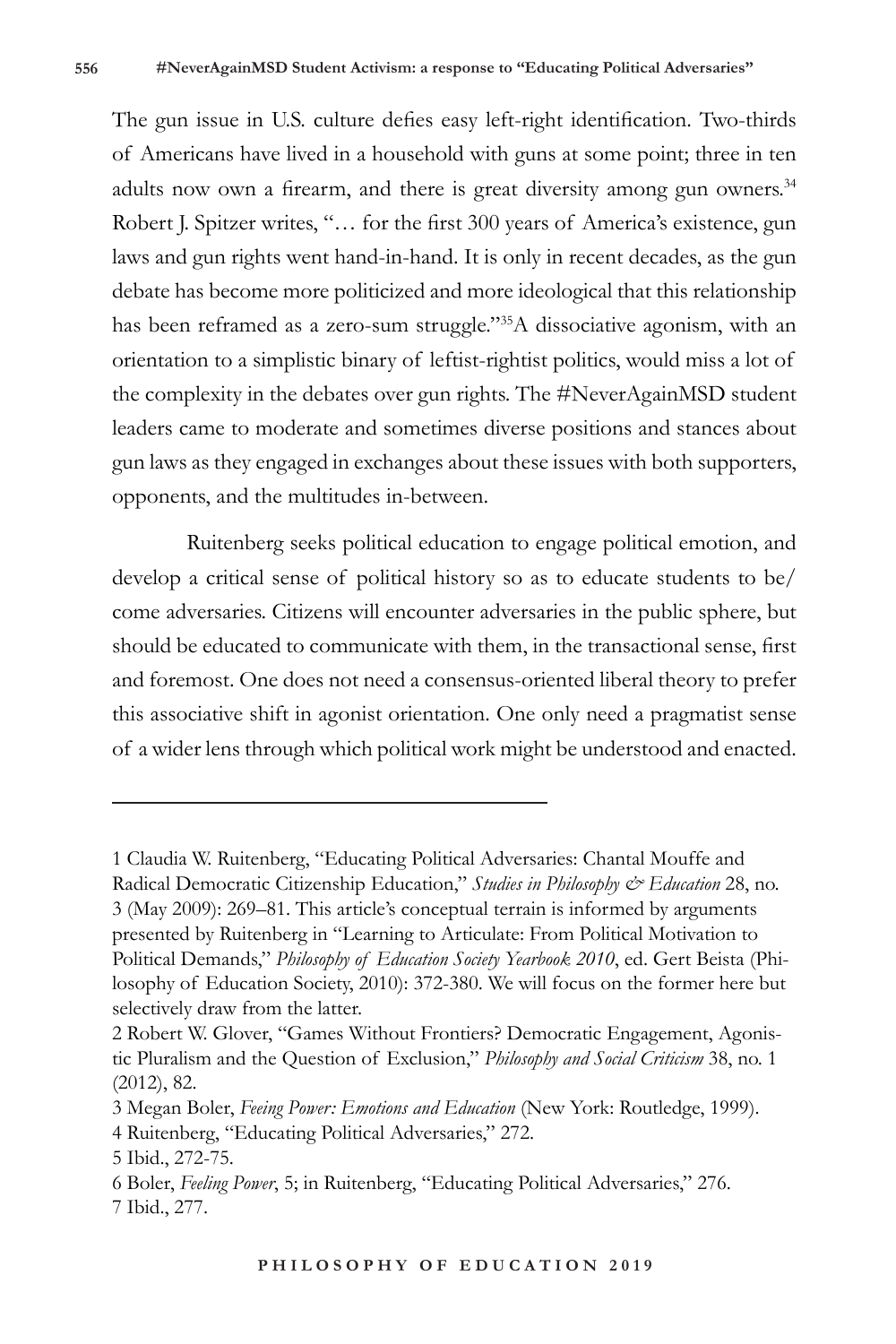The gun issue in U.S. culture defies easy left-right identification. Two-thirds of Americans have lived in a household with guns at some point; three in ten adults now own a firearm, and there is great diversity among gun owners.<sup>34</sup> Robert J. Spitzer writes, "… for the first 300 years of America's existence, gun laws and gun rights went hand-in-hand. It is only in recent decades, as the gun debate has become more politicized and more ideological that this relationship has been reframed as a zero-sum struggle."<sup>35</sup>A dissociative agonism, with an orientation to a simplistic binary of leftist-rightist politics, would miss a lot of the complexity in the debates over gun rights. The #NeverAgainMSD student leaders came to moderate and sometimes diverse positions and stances about gun laws as they engaged in exchanges about these issues with both supporters, opponents, and the multitudes in-between.

Ruitenberg seeks political education to engage political emotion, and develop a critical sense of political history so as to educate students to be/ come adversaries. Citizens will encounter adversaries in the public sphere, but should be educated to communicate with them, in the transactional sense, first and foremost. One does not need a consensus-oriented liberal theory to prefer this associative shift in agonist orientation. One only need a pragmatist sense of a wider lens through which political work might be understood and enacted.

<sup>1</sup> Claudia W. Ruitenberg, "Educating Political Adversaries: Chantal Mouffe and Radical Democratic Citizenship Education," *Studies in Philosophy & Education* 28, no. 3 (May 2009): 269–81. This article's conceptual terrain is informed by arguments presented by Ruitenberg in "Learning to Articulate: From Political Motivation to Political Demands," *Philosophy of Education Society Yearbook 2010*, ed. Gert Beista (Philosophy of Education Society, 2010): 372-380. We will focus on the former here but selectively draw from the latter.

<sup>2</sup> Robert W. Glover, "Games Without Frontiers? Democratic Engagement, Agonistic Pluralism and the Question of Exclusion," *Philosophy and Social Criticism* 38, no. 1 (2012), 82.

<sup>3</sup> Megan Boler, *Feeing Power: Emotions and Education* (New York: Routledge, 1999).

<sup>4</sup> Ruitenberg, "Educating Political Adversaries," 272.

<sup>5</sup> Ibid., 272-75.

<sup>6</sup> Boler, *Feeling Power*, 5; in Ruitenberg, "Educating Political Adversaries," 276. 7 Ibid., 277.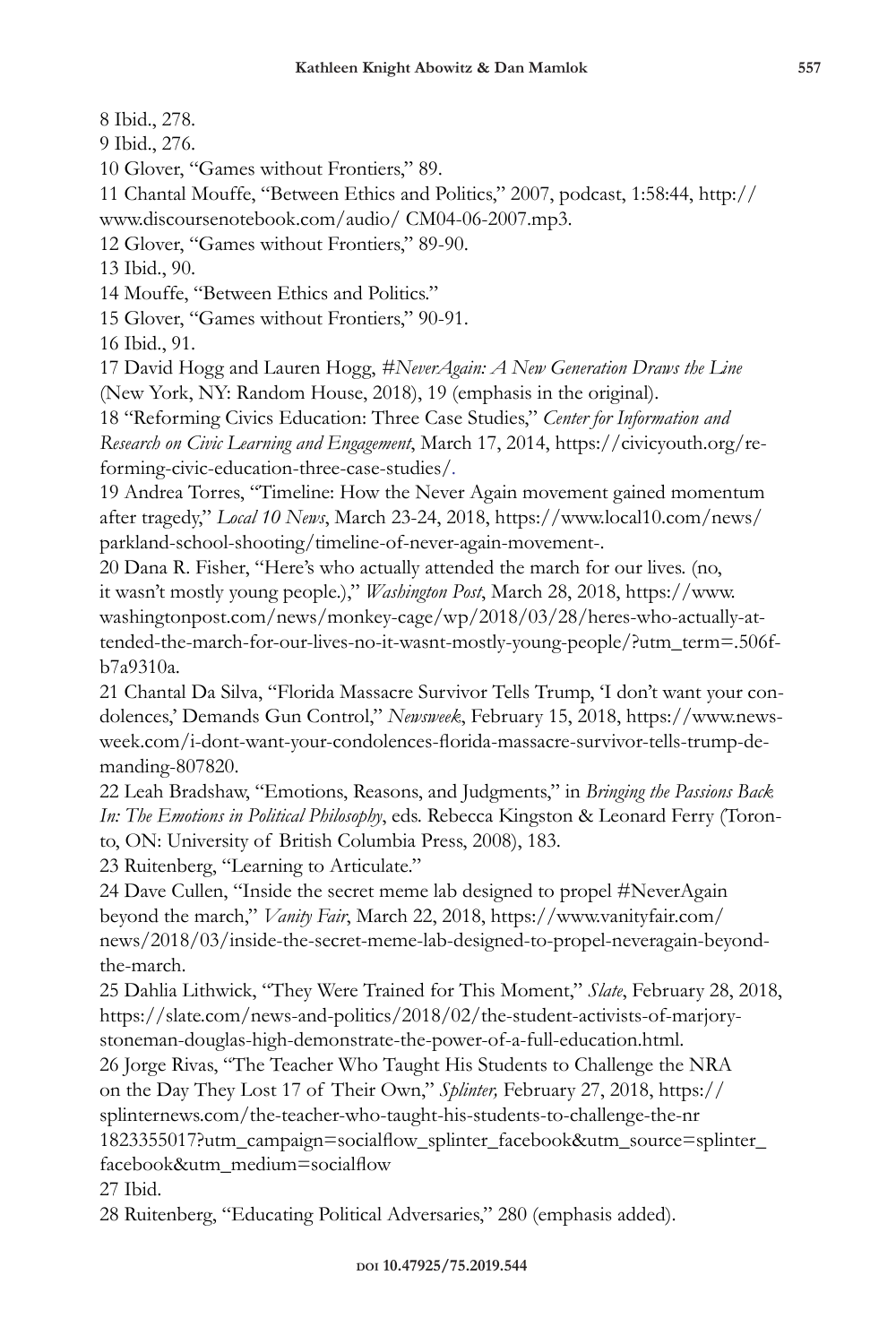8 Ibid., 278.

9 Ibid., 276.

10 Glover, "Games without Frontiers," 89.

11 Chantal Mouffe, "Between Ethics and Politics," 2007, podcast, 1:58:44, http://

www.discoursenotebook.com/audio/ CM04-06-2007.mp3.

12 Glover, "Games without Frontiers," 89-90.

13 Ibid., 90.

14 Mouffe, "Between Ethics and Politics."

15 Glover, "Games without Frontiers," 90-91.

16 Ibid., 91.

17 David Hogg and Lauren Hogg, *#NeverAgain: A New Generation Draws the Line* (New York, NY: Random House, 2018), 19 (emphasis in the original).

18 "Reforming Civics Education: Three Case Studies," *Center for Information and Research on Civic Learning and Engagement*, March 17, 2014, https://civicyouth.org/reforming-civic-education-three-case-studies/.

19 Andrea Torres, "Timeline: How the Never Again movement gained momentum after tragedy," *Local 10 News*, March 23-24, 2018, https://www.local10.com/news/ parkland-school-shooting/timeline-of-never-again-movement-.

20 Dana R. Fisher, "Here's who actually attended the march for our lives. (no, it wasn't mostly young people.)," *Washington Post*, March 28, 2018, https://www. washingtonpost.com/news/monkey-cage/wp/2018/03/28/heres-who-actually-attended-the-march-for-our-lives-no-it-wasnt-mostly-young-people/?utm\_term=.506fb7a9310a.

21 Chantal Da Silva, "Florida Massacre Survivor Tells Trump, 'I don't want your condolences,' Demands Gun Control," *Newsweek*, February 15, 2018, https://www.newsweek.com/i-dont-want-your-condolences-florida-massacre-survivor-tells-trump-demanding-807820.

22 Leah Bradshaw, "Emotions, Reasons, and Judgments," in *Bringing the Passions Back In: The Emotions in Political Philosophy*, eds. Rebecca Kingston & Leonard Ferry (Toronto, ON: University of British Columbia Press, 2008), 183.

23 Ruitenberg, "Learning to Articulate."

24 Dave Cullen, "Inside the secret meme lab designed to propel #NeverAgain beyond the march," *Vanity Fair*, March 22, 2018, https://www.vanityfair.com/ news/2018/03/inside-the-secret-meme-lab-designed-to-propel-neveragain-beyondthe-march.

25 Dahlia Lithwick, "They Were Trained for This Moment," *Slate*, February 28, 2018, https://slate.com/news-and-politics/2018/02/the-student-activists-of-marjorystoneman-douglas-high-demonstrate-the-power-of-a-full-education.html.

26 Jorge Rivas, "The Teacher Who Taught His Students to Challenge the NRA on the Day They Lost 17 of Their Own," *Splinter,* February 27, 2018, https:// splinternews.com/the-teacher-who-taught-his-students-to-challenge-the-nr 1823355017?utm\_campaign=socialflow\_splinter\_facebook&utm\_source=splinter\_

facebook&utm\_medium=socialflow

27 Ibid.

28 Ruitenberg, "Educating Political Adversaries," 280 (emphasis added).